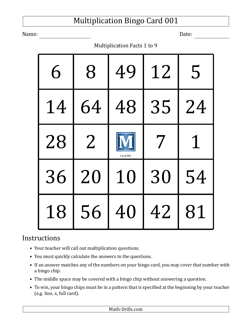Name: Date:

Multiplication Facts 1 to 9

| 6  | 8              | 49       | 12 | 5           |
|----|----------------|----------|----|-------------|
| 14 | 64             | 48       | 35 | 24          |
| 28 | $\overline{2}$ | Card 001 | 7  | $\mathbf 1$ |
| 36 | 20             | 10       | 30 | 54          |
| 18 | 56             | 40       | 42 | 81          |

- Your teacher will call out multiplication questions.
- You must quickly calculate the answers to the questions.
- If an answer matches any of the numbers on your bingo card, you may cover that number with a bingo chip.
- The middle space may be covered with a bingo chip without answering a question.
- To win, your bingo chips must be in a pattern that is specified at the beginning by your teacher (e.g. line, x, full card).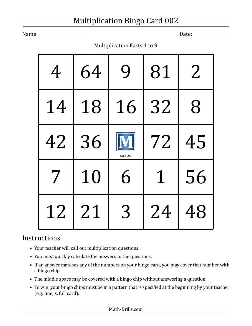Name: Date:

Multiplication Facts 1 to 9

| 4  | 64 | 9        | 81 | $2\,$ |
|----|----|----------|----|-------|
| 14 | 18 | 16       | 32 | 8     |
| 42 | 36 | Card 002 | 72 | 45    |
| 7  | 10 | 6        | 1  | 56    |
| 12 | 21 | 3        | 24 | 48    |

- Your teacher will call out multiplication questions.
- You must quickly calculate the answers to the questions.
- If an answer matches any of the numbers on your bingo card, you may cover that number with a bingo chip.
- The middle space may be covered with a bingo chip without answering a question.
- To win, your bingo chips must be in a pattern that is specified at the beginning by your teacher (e.g. line, x, full card).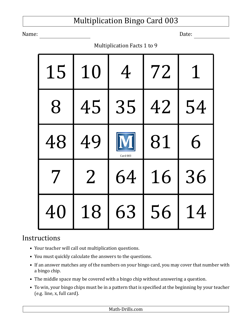Name: Date:

Multiplication Facts 1 to 9

| 15 | 10             | 4        | 72 | 1  |
|----|----------------|----------|----|----|
| 8  | 45             | 35       | 42 | 54 |
| 48 | 49             | Card 003 | 81 | 6  |
| 7  | $\overline{2}$ | 64       | 16 | 36 |
| 40 | 18             | 63       | 56 | 14 |

- Your teacher will call out multiplication questions.
- You must quickly calculate the answers to the questions.
- If an answer matches any of the numbers on your bingo card, you may cover that number with a bingo chip.
- The middle space may be covered with a bingo chip without answering a question.
- To win, your bingo chips must be in a pattern that is specified at the beginning by your teacher (e.g. line, x, full card).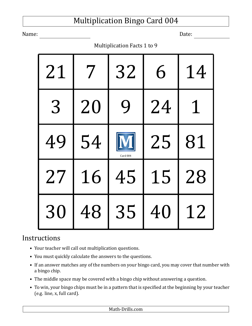Name: Date:

Multiplication Facts 1 to 9

| 21 |    | 32          | 6  | 14 |
|----|----|-------------|----|----|
| 3  | 20 | $\mathbf Q$ | 24 | 1  |
| 49 | 54 | Card 004    | 25 | 81 |
| 27 | 16 | 45          | 15 | 28 |
| 30 | 48 | 35          | 40 | 12 |

- Your teacher will call out multiplication questions.
- You must quickly calculate the answers to the questions.
- If an answer matches any of the numbers on your bingo card, you may cover that number with a bingo chip.
- The middle space may be covered with a bingo chip without answering a question.
- To win, your bingo chips must be in a pattern that is specified at the beginning by your teacher (e.g. line, x, full card).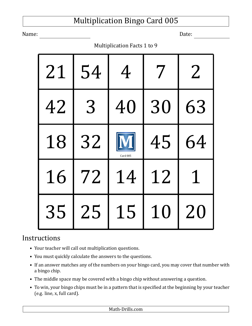Name: Date:

Multiplication Facts 1 to 9

| 21 | 54 | 4        | 7  | $\overline{2}$ |
|----|----|----------|----|----------------|
| 42 | 3  | 40       | 30 | 63             |
| 18 | 32 | Card 005 | 45 | 64             |
| 16 | 72 | 14       | 12 | 1              |
| 35 | 25 | 15       | 10 | 20             |

- Your teacher will call out multiplication questions.
- You must quickly calculate the answers to the questions.
- If an answer matches any of the numbers on your bingo card, you may cover that number with a bingo chip.
- The middle space may be covered with a bingo chip without answering a question.
- To win, your bingo chips must be in a pattern that is specified at the beginning by your teacher (e.g. line, x, full card).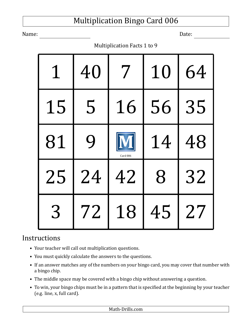Name: Date:

Multiplication Facts 1 to 9

| $\mathbf 1$ | 40 | 7        | 10 | 64 |
|-------------|----|----------|----|----|
| 15          | 5  | 16       | 56 | 35 |
| 81          | 9  | Card 006 | 14 | 48 |
| 25          | 24 | 42       | 8  | 32 |
| 3           | 72 | 18       | 45 | 27 |

- Your teacher will call out multiplication questions.
- You must quickly calculate the answers to the questions.
- If an answer matches any of the numbers on your bingo card, you may cover that number with a bingo chip.
- The middle space may be covered with a bingo chip without answering a question.
- To win, your bingo chips must be in a pattern that is specified at the beginning by your teacher (e.g. line, x, full card).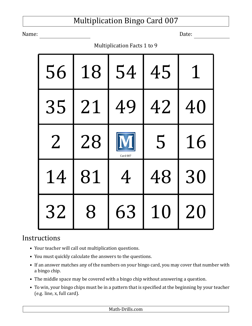Name: Date:

Multiplication Facts 1 to 9

| 56             | 18 | 54       | 45 |    |
|----------------|----|----------|----|----|
| 35             | 21 | 49       | 42 | 40 |
| $\overline{2}$ | 28 | Card 007 | 5  | 16 |
| 14             | 81 | 4        | 48 | 30 |
| 32             | 8  | 63       | 10 | 20 |

- Your teacher will call out multiplication questions.
- You must quickly calculate the answers to the questions.
- If an answer matches any of the numbers on your bingo card, you may cover that number with a bingo chip.
- The middle space may be covered with a bingo chip without answering a question.
- To win, your bingo chips must be in a pattern that is specified at the beginning by your teacher (e.g. line, x, full card).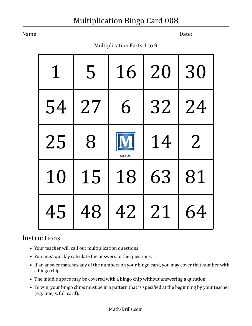Name: Date:

Multiplication Facts 1 to 9

| $\mathbf 1$ | 5  | 16       | 20 | 30 |
|-------------|----|----------|----|----|
| 54          | 27 | 6        | 32 | 24 |
| 25          | 8  | Card 008 | 14 | 2  |
| 10          | 15 | 18       | 63 | 81 |
| 45          | 48 | 42       | 21 | 64 |

- Your teacher will call out multiplication questions.
- You must quickly calculate the answers to the questions.
- If an answer matches any of the numbers on your bingo card, you may cover that number with a bingo chip.
- The middle space may be covered with a bingo chip without answering a question.
- To win, your bingo chips must be in a pattern that is specified at the beginning by your teacher (e.g. line, x, full card).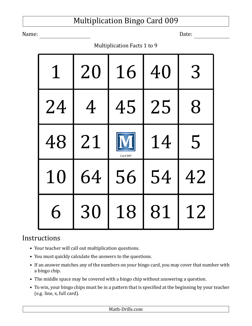Name: Date:

Multiplication Facts 1 to 9

| 1  | 20 | 16       | 40 | 3  |
|----|----|----------|----|----|
| 24 | 4  | 45       | 25 | 8  |
| 48 | 21 | Card 009 | 14 | 5  |
| 10 | 64 | 56       | 54 | 42 |
| 6  | 30 | 18       | 81 | 12 |

- Your teacher will call out multiplication questions.
- You must quickly calculate the answers to the questions.
- If an answer matches any of the numbers on your bingo card, you may cover that number with a bingo chip.
- The middle space may be covered with a bingo chip without answering a question.
- To win, your bingo chips must be in a pattern that is specified at the beginning by your teacher (e.g. line, x, full card).